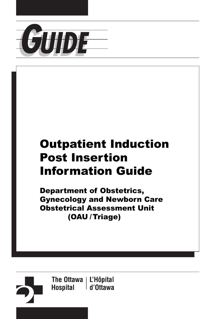

# Outpatient Induction Post Insertion Information Guide

Department of Obstetrics, Gynecology and Newborn Care Obstetrical Assessment Unit (OAU / Triage)

The Ottawa | L'Hôpital **Hospital** d'Ottawa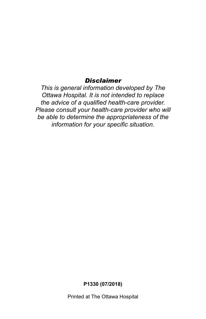#### *Disclaimer*

*This is general information developed by The Ottawa Hospital. It is not intended to replace the advice of a qualified health-care provider. Please consult your health-care provider who will be able to determine the appropriateness of the information for your specific situation.* 

**P1330 (07/2018)** 

Printed at The Ottawa Hospital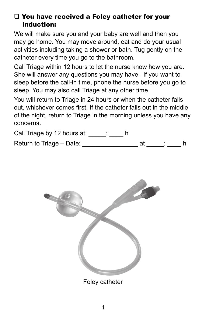### $\Box$  You have received a Foley catheter for your induction:

We will make sure you and your baby are well and then you may go home. You may move around, eat and do your usual activities including taking a shower or bath. Tug gently on the catheter every time you go to the bathroom.

Call Triage within 12 hours to let the nurse know how you are. She will answer any questions you may have. If you want to sleep before the call-in time, phone the nurse before you go to sleep. You may also call Triage at any other time.

You will return to Triage in 24 hours or when the catheter falls out, whichever comes first. If the catheter falls out in the middle of the night, return to Triage in the morning unless you have any concerns.

Call Triage by 12 hours at:  $\qquad \qquad$ : h Return to Triage – Date: example at the state of the Return to Triage – Date:

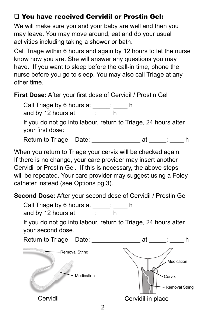# $\square$  You have received Cervidil or Prostin Gel:

We will make sure you and your baby are well and then you may leave. You may move around, eat and do your usual activities including taking a shower or bath.

Call Triage within 6 hours and again by 12 hours to let the nurse know how you are. She will answer any questions you may have. If you want to sleep before the call-in time, phone the nurse before you go to sleep. You may also call Triage at any other time.

**First Dose:** After your first dose of Cervidil / Prostin Gel

Call Triage by 6 hours at \_\_\_\_\_: \_\_\_\_ h

and by 12 hours at  $\frac{1}{\Box}$  h

If you do not go into labour, return to Triage, 24 hours after your first dose:

Return to Triage – Date: \_\_\_\_\_\_\_\_\_\_\_\_\_\_\_\_\_ at \_\_\_\_\_: \_\_\_ h

When you return to Triage your cervix will be checked again. If there is no change, your care provider may insert another Cervidil or Prostin Gel. If this is necessary, the above steps will be repeated. Your care provider may suggest using a Foley catheter instead (see Options pg 3).

**Second Dose:** After your second dose of Cervidil / Prostin Gel

Call Triage by 6 hours at  $\frac{1}{\sqrt{2\pi}}$  h and by 12 hours at  $\qquad$ :

If you do not go into labour, return to Triage, 24 hours after your second dose.

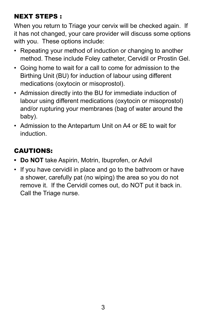# NEXT STEPS :

When you return to Triage your cervix will be checked again. If it has not changed, your care provider will discuss some options with you. These options include:

- Repeating your method of induction or changing to another method. These include Foley catheter, Cervidil or Prostin Gel.
- Going home to wait for a call to come for admission to the Birthing Unit (BU) for induction of labour using different medications (oxytocin or misoprostol).
- Admission directly into the BU for immediate induction of labour using different medications (oxytocin or misoprostol) and/or rupturing your membranes (bag of water around the baby).
- Admission to the Antepartum Unit on A4 or 8E to wait for induction.

# CAUTIONS:

- **Do NOT** take Aspirin, Motrin, Ibuprofen, or Advil
- If you have cervidil in place and go to the bathroom or have a shower, carefully pat (no wiping) the area so you do not remove it. If the Cervidil comes out, do NOT put it back in. Call the Triage nurse.